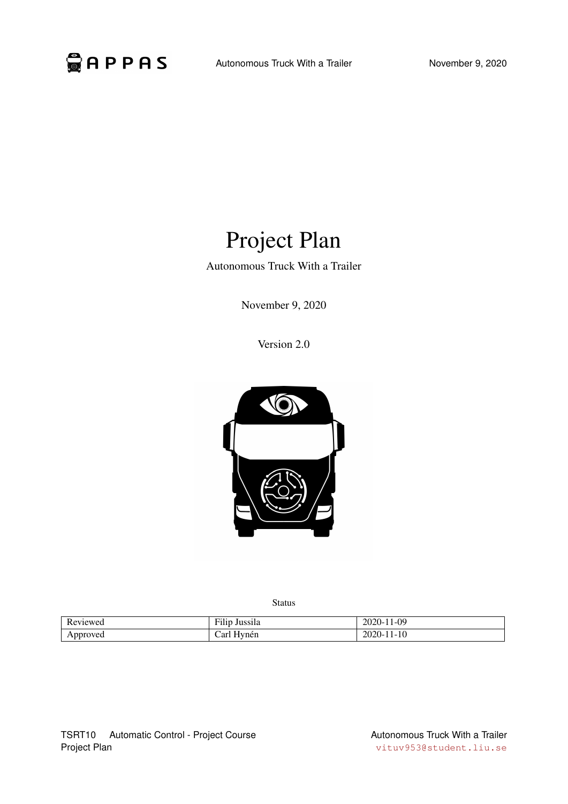

# Project Plan

Autonomous Truck With a Trailer

November 9, 2020

Version 2.0



Status

| $\mathbf{r}$<br>$\alpha$ viewed<br>.     | <br>$\overline{\phantom{a}}$<br>Jussila<br>$\cdot$ . The $\cdot$ | 09-،<br>.<br>ZUZU-<br>. .         |
|------------------------------------------|------------------------------------------------------------------|-----------------------------------|
| roved<br>$\cdot$ $\cdot$ $\cdot$ $\cdot$ | vnen<br>ar                                                       | l-10<br>--<br>$\sim$<br>. .<br>__ |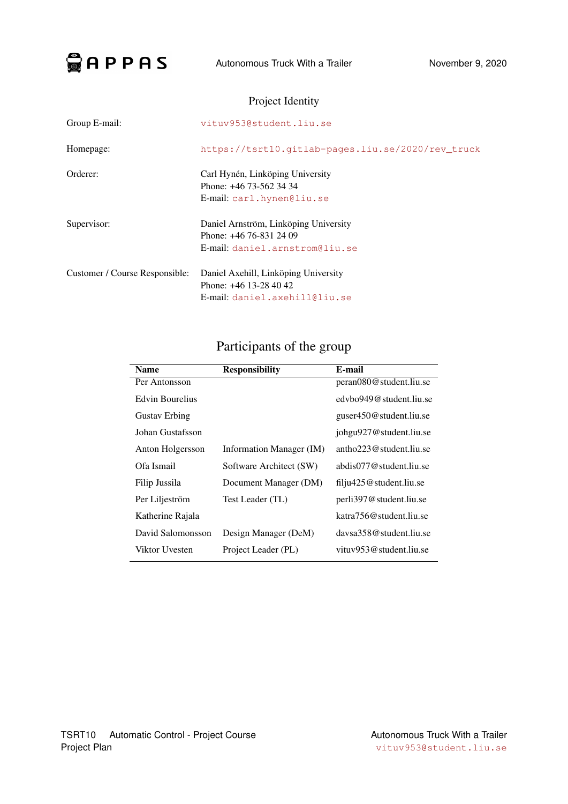

### Project Identity

| Group E-mail:                  | vituv953@student.liu.se                                                                            |
|--------------------------------|----------------------------------------------------------------------------------------------------|
| Homepage:                      | https://tsrt10.qitlab-pages.liu.se/2020/rev truck                                                  |
| Orderer:                       | Carl Hynén, Linköping University<br>Phone: +46 73-562 34 34<br>E-mail: carl.hynen@liu.se           |
| Supervisor:                    | Daniel Arnström, Linköping University<br>Phone: +46 76-831 24 09<br>E-mail: daniel.arnstrom@liu.se |
| Customer / Course Responsible: | Daniel Axehill, Linköping University<br>Phone: $+46$ 13-28 40 42<br>E-mail: daniel.axehill@liu.se  |

## Participants of the group

| <b>Name</b>          | <b>Responsibility</b>    | E-mail                            |
|----------------------|--------------------------|-----------------------------------|
| Per Antonsson        |                          | peran080@student.liu.se           |
| Edvin Bourelius      |                          | edybo949@student.liu.se           |
| <b>Gustav Erbing</b> |                          | guser450@student.liu.se           |
| Johan Gustafsson     |                          | johgu927@student.liu.se           |
| Anton Holgersson     | Information Manager (IM) | antho $223@$ student.liu.se       |
| Ofa Ismail           | Software Architect (SW)  | abdis077@student.liu.se           |
| Filip Jussila        | Document Manager (DM)    | $\text{fil}$ ju425@student.liu.se |
| Per Liljeström       | Test Leader (TL)         | perli397@student.liu.se           |
| Katherine Rajala     |                          | katra756@student.liu.se           |
| David Salomonsson    | Design Manager (DeM)     | daysa358@student.liu.se           |
| Viktor Uvesten       | Project Leader (PL)      | vituv $953$ @student.liu.se       |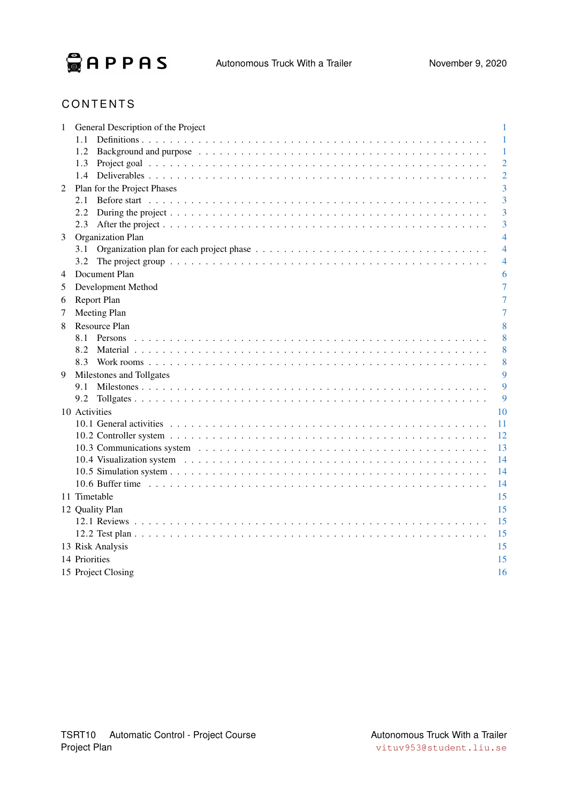

### **CONTENTS**

| 1 | General Description of the Project | 1              |
|---|------------------------------------|----------------|
|   | 1.1                                | 1              |
|   | 1.2                                | 1              |
|   | 1.3                                | 2              |
|   | $1.4^{\circ}$                      | $\overline{2}$ |
| 2 | Plan for the Project Phases        | 3              |
|   | 2.1                                | 3              |
|   | 2.2                                | 3              |
|   | 2.3                                | 3              |
| 3 | Organization Plan                  | $\overline{4}$ |
|   | 3.1                                | 4              |
|   | 3.2                                | 4              |
| 4 | Document Plan                      | 6              |
| 5 | Development Method                 | 7              |
| 6 | Report Plan                        | 7              |
| 7 | Meeting Plan                       | 7              |
| 8 | Resource Plan                      | 8              |
|   | 8.1                                | 8              |
|   | 8.2                                | 8              |
|   | 8.3                                | 8              |
| 9 | Milestones and Tollgates           | 9              |
|   | 9.1                                | 9              |
|   | 9.2                                | 9              |
|   | 10 Activities                      | 10             |
|   |                                    | 11             |
|   |                                    | 12             |
|   |                                    | 13             |
|   |                                    | 14             |
|   |                                    | 14             |
|   |                                    | 14             |
|   | 11 Timetable                       | 15             |
|   | 12 Quality Plan                    | 15             |
|   |                                    | 15             |
|   |                                    | 15             |
|   | 13 Risk Analysis                   | 15             |
|   | 14 Priorities                      | 15             |
|   | 15 Project Closing                 | 16             |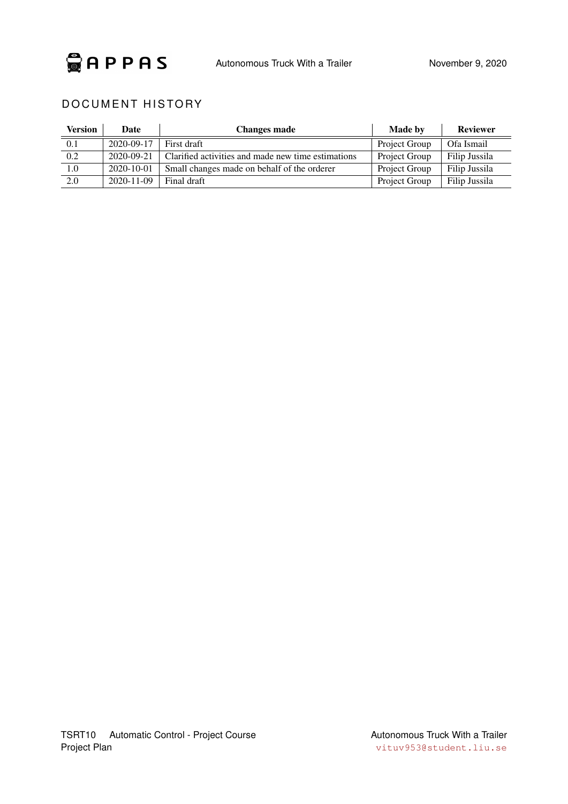

### DOCUMENT HISTORY

| Version | Date             | <b>Changes made</b>                                | <b>Made by</b> | <b>Reviewer</b> |
|---------|------------------|----------------------------------------------------|----------------|-----------------|
| 0.1     | 2020-09-17       | First draft                                        | Project Group  | Ofa Ismail      |
| 0.2     | 2020-09-21       | Clarified activities and made new time estimations | Project Group  | Filip Jussila   |
| 1.0     | 2020-10-01       | Small changes made on behalf of the orderer        | Project Group  | Filip Jussila   |
| 2.0     | $2020 - 11 - 09$ | Final draft                                        | Project Group  | Filip Jussila   |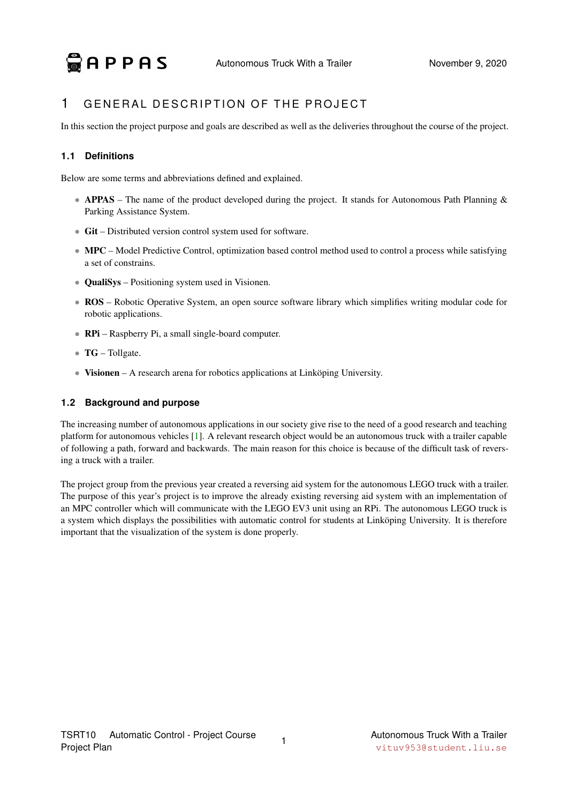### <span id="page-4-0"></span>1 GENERAL DESCRIPTION OF THE PROJECT

In this section the project purpose and goals are described as well as the deliveries throughout the course of the project.

### <span id="page-4-1"></span>**1.1 Definitions**

Below are some terms and abbreviations defined and explained.

- APPAS The name of the product developed during the project. It stands for Autonomous Path Planning & Parking Assistance System.
- Git Distributed version control system used for software.
- MPC Model Predictive Control, optimization based control method used to control a process while satisfying a set of constrains.
- **QualiSys** Positioning system used in Visionen.
- ROS Robotic Operative System, an open source software library which simplifies writing modular code for robotic applications.
- **RPi** Raspberry Pi, a small single-board computer.
- TG Tollgate.
- Visionen A research arena for robotics applications at Linköping University.

#### <span id="page-4-2"></span>**1.2 Background and purpose**

The increasing number of autonomous applications in our society give rise to the need of a good research and teaching platform for autonomous vehicles [\[1\]](#page-20-0). A relevant research object would be an autonomous truck with a trailer capable of following a path, forward and backwards. The main reason for this choice is because of the difficult task of reversing a truck with a trailer.

The project group from the previous year created a reversing aid system for the autonomous LEGO truck with a trailer. The purpose of this year's project is to improve the already existing reversing aid system with an implementation of an MPC controller which will communicate with the LEGO EV3 unit using an RPi. The autonomous LEGO truck is a system which displays the possibilities with automatic control for students at Linköping University. It is therefore important that the visualization of the system is done properly.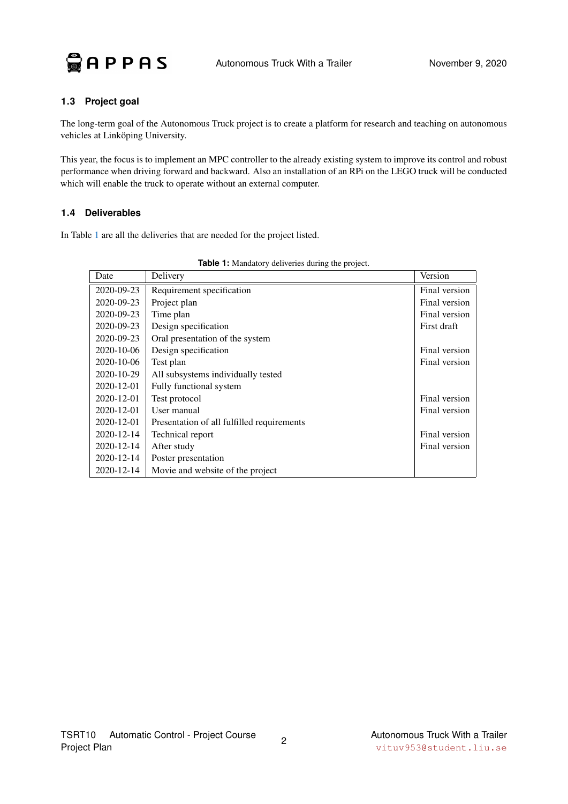

### <span id="page-5-0"></span>**1.3 Project goal**

The long-term goal of the Autonomous Truck project is to create a platform for research and teaching on autonomous vehicles at Linköping University.

This year, the focus is to implement an MPC controller to the already existing system to improve its control and robust performance when driving forward and backward. Also an installation of an RPi on the LEGO truck will be conducted which will enable the truck to operate without an external computer.

#### <span id="page-5-1"></span>**1.4 Deliverables**

<span id="page-5-2"></span>In Table [1](#page-5-2) are all the deliveries that are needed for the project listed.

| Date             | Delivery                                   | Version       |
|------------------|--------------------------------------------|---------------|
| 2020-09-23       | Requirement specification                  | Final version |
| 2020-09-23       | Project plan                               | Final version |
| 2020-09-23       | Time plan                                  | Final version |
| 2020-09-23       | Design specification                       | First draft   |
| 2020-09-23       | Oral presentation of the system            |               |
| 2020-10-06       | Design specification                       | Final version |
| 2020-10-06       | Test plan                                  | Final version |
| 2020-10-29       | All subsystems individually tested         |               |
| $2020 - 12 - 01$ | Fully functional system                    |               |
| $2020 - 12 - 01$ | Test protocol                              | Final version |
| $2020 - 12 - 01$ | User manual                                | Final version |
| 2020-12-01       | Presentation of all fulfilled requirements |               |
| 2020-12-14       | Technical report                           | Final version |
| $2020 - 12 - 14$ | After study                                | Final version |
| 2020-12-14       | Poster presentation                        |               |
| 2020-12-14       | Movie and website of the project           |               |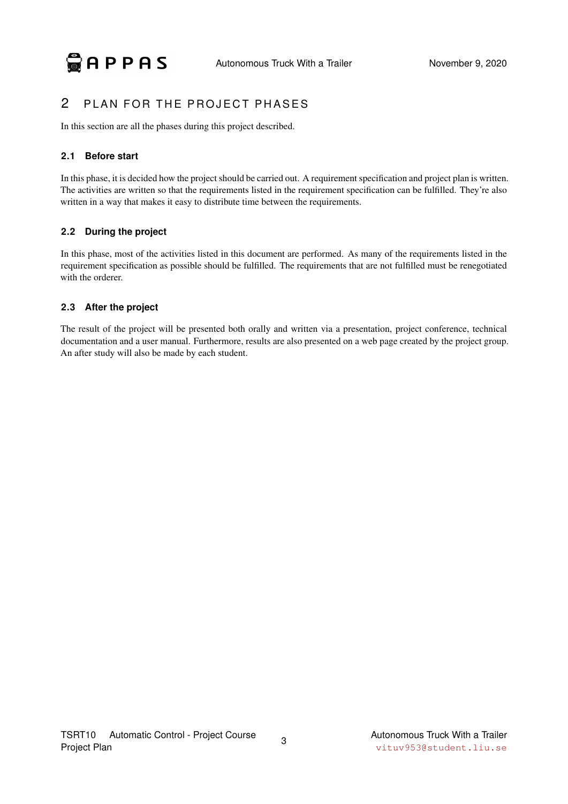### <span id="page-6-0"></span>2 PLAN FOR THE PROJECT PHASES

In this section are all the phases during this project described.

### <span id="page-6-1"></span>**2.1 Before start**

In this phase, it is decided how the project should be carried out. A requirement specification and project plan is written. The activities are written so that the requirements listed in the requirement specification can be fulfilled. They're also written in a way that makes it easy to distribute time between the requirements.

### <span id="page-6-2"></span>**2.2 During the project**

In this phase, most of the activities listed in this document are performed. As many of the requirements listed in the requirement specification as possible should be fulfilled. The requirements that are not fulfilled must be renegotiated with the orderer.

### <span id="page-6-3"></span>**2.3 After the project**

The result of the project will be presented both orally and written via a presentation, project conference, technical documentation and a user manual. Furthermore, results are also presented on a web page created by the project group. An after study will also be made by each student.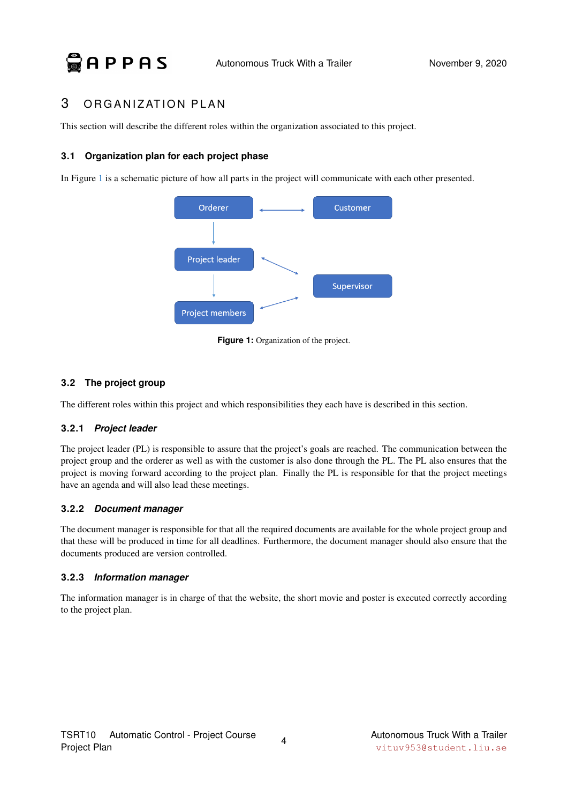### <span id="page-7-0"></span>3 ORGANIZATION PLAN

This section will describe the different roles within the organization associated to this project.

#### <span id="page-7-1"></span>**3.1 Organization plan for each project phase**

<span id="page-7-3"></span>In Figure [1](#page-7-3) is a schematic picture of how all parts in the project will communicate with each other presented.



**Figure 1:** Organization of the project.

### <span id="page-7-2"></span>**3.2 The project group**

The different roles within this project and which responsibilities they each have is described in this section.

### **3.2.1** *Project leader*

The project leader (PL) is responsible to assure that the project's goals are reached. The communication between the project group and the orderer as well as with the customer is also done through the PL. The PL also ensures that the project is moving forward according to the project plan. Finally the PL is responsible for that the project meetings have an agenda and will also lead these meetings.

### **3.2.2** *Document manager*

The document manager is responsible for that all the required documents are available for the whole project group and that these will be produced in time for all deadlines. Furthermore, the document manager should also ensure that the documents produced are version controlled.

### **3.2.3** *Information manager*

The information manager is in charge of that the website, the short movie and poster is executed correctly according to the project plan.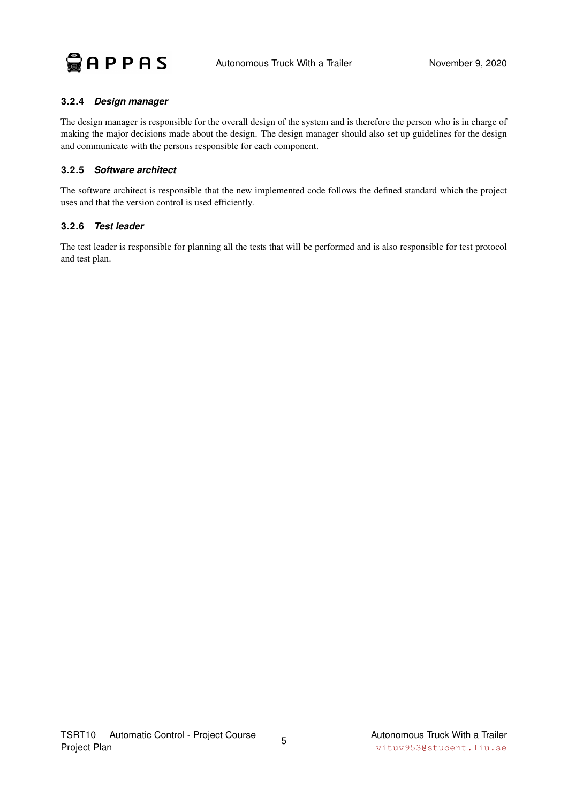

#### **3.2.4** *Design manager*

The design manager is responsible for the overall design of the system and is therefore the person who is in charge of making the major decisions made about the design. The design manager should also set up guidelines for the design and communicate with the persons responsible for each component.

#### **3.2.5** *Software architect*

The software architect is responsible that the new implemented code follows the defined standard which the project uses and that the version control is used efficiently.

#### **3.2.6** *Test leader*

The test leader is responsible for planning all the tests that will be performed and is also responsible for test protocol and test plan.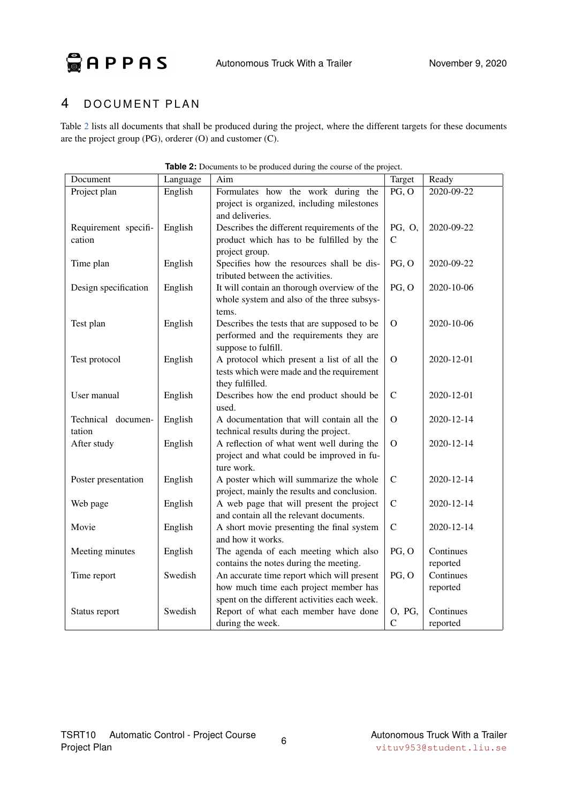**APPAS** Autonomous Truck With a Trailer November 9, 2020

### <span id="page-9-0"></span>4 DOCUMENT PLAN

Table [2](#page-9-1) lists all documents that shall be produced during the project, where the different targets for these documents are the project group (PG), orderer (O) and customer (C).

<span id="page-9-1"></span>

| Document             | Language | Aim                                                               | Target       | Ready      |
|----------------------|----------|-------------------------------------------------------------------|--------------|------------|
| Project plan         | English  | Formulates how the work during the                                | PG, O        | 2020-09-22 |
|                      |          | project is organized, including milestones                        |              |            |
|                      |          | and deliveries.                                                   |              |            |
| Requirement specifi- | English  | Describes the different requirements of the                       | PG, O,       | 2020-09-22 |
| cation               |          | product which has to be fulfilled by the                          | $\mathsf{C}$ |            |
|                      |          | project group.                                                    |              |            |
| Time plan            | English  | Specifies how the resources shall be dis-                         | PG, O        | 2020-09-22 |
|                      |          | tributed between the activities.                                  |              |            |
| Design specification | English  | It will contain an thorough overview of the                       | PG, O        | 2020-10-06 |
|                      |          | whole system and also of the three subsys-                        |              |            |
|                      |          | tems.                                                             |              |            |
| Test plan            | English  | Describes the tests that are supposed to be                       | $\mathbf{O}$ | 2020-10-06 |
|                      |          | performed and the requirements they are                           |              |            |
| Test protocol        | English  | suppose to fulfill.<br>A protocol which present a list of all the | $\mathbf{O}$ | 2020-12-01 |
|                      |          | tests which were made and the requirement                         |              |            |
|                      |          | they fulfilled.                                                   |              |            |
| User manual          | English  | Describes how the end product should be                           | $\mathbf C$  | 2020-12-01 |
|                      |          | used.                                                             |              |            |
| Technical documen-   | English  | A documentation that will contain all the                         | $\mathbf{O}$ | 2020-12-14 |
| tation               |          | technical results during the project.                             |              |            |
| After study          | English  | A reflection of what went well during the                         | $\mathbf{O}$ | 2020-12-14 |
|                      |          | project and what could be improved in fu-                         |              |            |
|                      |          | ture work.                                                        |              |            |
| Poster presentation  | English  | A poster which will summarize the whole                           | $\mathbf C$  | 2020-12-14 |
|                      |          | project, mainly the results and conclusion.                       |              |            |
| Web page             | English  | A web page that will present the project                          | $\mathbf C$  | 2020-12-14 |
|                      |          | and contain all the relevant documents.                           |              |            |
| Movie                | English  | A short movie presenting the final system                         | $\mathbf C$  | 2020-12-14 |
|                      |          | and how it works.                                                 |              |            |
| Meeting minutes      | English  | The agenda of each meeting which also                             | PG, O        | Continues  |
|                      |          | contains the notes during the meeting.                            |              | reported   |
| Time report          | Swedish  | An accurate time report which will present                        | PG, O        | Continues  |
|                      |          | how much time each project member has                             |              | reported   |
|                      |          | spent on the different activities each week.                      |              |            |
| Status report        | Swedish  | Report of what each member have done                              | O, PG,       | Continues  |
|                      |          | during the week.                                                  | ${\bf C}$    | reported   |

| <b>Table 2:</b> Documents to be produced during the course of the project. |  |
|----------------------------------------------------------------------------|--|
|----------------------------------------------------------------------------|--|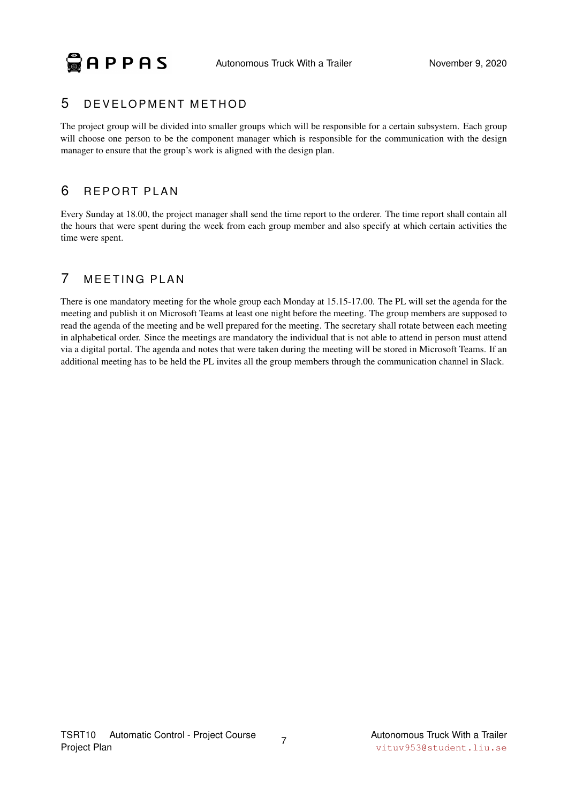### <span id="page-10-0"></span>5 DEVELOPMENT METHOD

The project group will be divided into smaller groups which will be responsible for a certain subsystem. Each group will choose one person to be the component manager which is responsible for the communication with the design manager to ensure that the group's work is aligned with the design plan.

### <span id="page-10-1"></span>6 REPORT PLAN

Every Sunday at 18.00, the project manager shall send the time report to the orderer. The time report shall contain all the hours that were spent during the week from each group member and also specify at which certain activities the time were spent.

### <span id="page-10-2"></span>7 MEETING PLAN

There is one mandatory meeting for the whole group each Monday at 15.15-17.00. The PL will set the agenda for the meeting and publish it on Microsoft Teams at least one night before the meeting. The group members are supposed to read the agenda of the meeting and be well prepared for the meeting. The secretary shall rotate between each meeting in alphabetical order. Since the meetings are mandatory the individual that is not able to attend in person must attend via a digital portal. The agenda and notes that were taken during the meeting will be stored in Microsoft Teams. If an additional meeting has to be held the PL invites all the group members through the communication channel in Slack.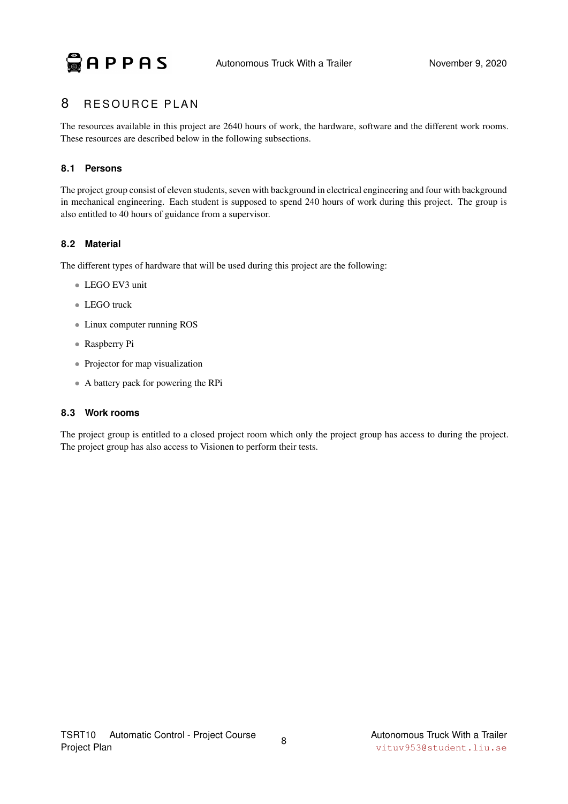### <span id="page-11-0"></span>8 RESOURCE PLAN

The resources available in this project are 2640 hours of work, the hardware, software and the different work rooms. These resources are described below in the following subsections.

### <span id="page-11-1"></span>**8.1 Persons**

The project group consist of eleven students, seven with background in electrical engineering and four with background in mechanical engineering. Each student is supposed to spend 240 hours of work during this project. The group is also entitled to 40 hours of guidance from a supervisor.

### <span id="page-11-2"></span>**8.2 Material**

The different types of hardware that will be used during this project are the following:

- LEGO EV3 unit
- LEGO truck
- Linux computer running ROS
- Raspberry Pi
- Projector for map visualization
- A battery pack for powering the RPi

### <span id="page-11-3"></span>**8.3 Work rooms**

The project group is entitled to a closed project room which only the project group has access to during the project. The project group has also access to Visionen to perform their tests.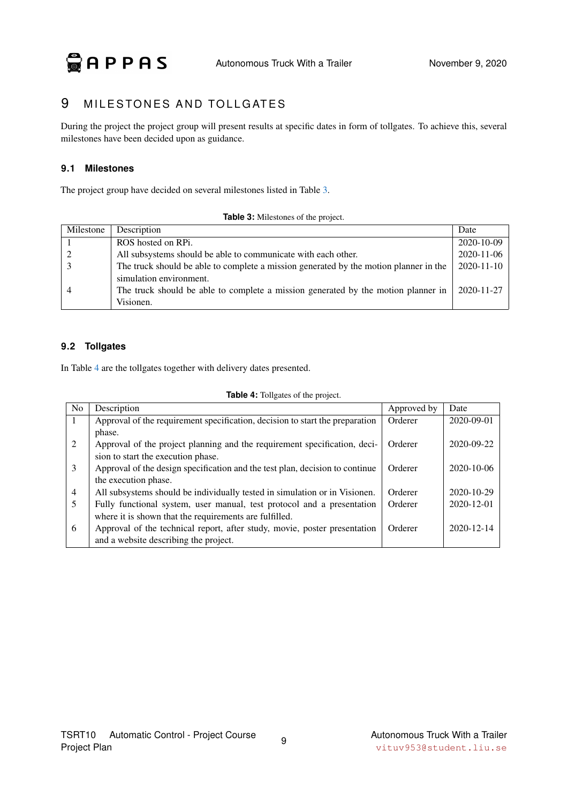### <span id="page-12-0"></span>9 MILESTONES AND TOLLGATES

During the project the project group will present results at specific dates in form of tollgates. To achieve this, several milestones have been decided upon as guidance.

### <span id="page-12-1"></span>**9.1 Milestones**

<span id="page-12-3"></span>The project group have decided on several milestones listed in Table [3.](#page-12-3)

**Table 3:** Milestones of the project.

| Milestone      | Description                                                                           | Date             |
|----------------|---------------------------------------------------------------------------------------|------------------|
|                | ROS hosted on RPi.                                                                    | 2020-10-09       |
|                | All subsystems should be able to communicate with each other.                         | 2020-11-06       |
|                | The truck should be able to complete a mission generated by the motion planner in the | $2020 - 11 - 10$ |
|                | simulation environment.                                                               |                  |
| $\overline{4}$ | The truck should be able to complete a mission generated by the motion planner in     | 2020-11-27       |
|                | Visionen.                                                                             |                  |

### <span id="page-12-2"></span>**9.2 Tollgates**

<span id="page-12-4"></span>In Table [4](#page-12-4) are the tollgates together with delivery dates presented.

|  | Table 4: Tollgates of the project. |  |  |
|--|------------------------------------|--|--|
|--|------------------------------------|--|--|

| N <sub>o</sub> | Description                                                                  | Approved by | Date       |
|----------------|------------------------------------------------------------------------------|-------------|------------|
| -1             | Approval of the requirement specification, decision to start the preparation | Orderer     | 2020-09-01 |
|                | phase.                                                                       |             |            |
| 2              | Approval of the project planning and the requirement specification, deci-    | Orderer     | 2020-09-22 |
|                | sion to start the execution phase.                                           |             |            |
| 3              | Approval of the design specification and the test plan, decision to continue | Orderer     | 2020-10-06 |
|                | the execution phase.                                                         |             |            |
| $\overline{4}$ | All subsystems should be individually tested in simulation or in Visionen.   | Orderer     | 2020-10-29 |
| 5              | Fully functional system, user manual, test protocol and a presentation       | Orderer     | 2020-12-01 |
|                | where it is shown that the requirements are fulfilled.                       |             |            |
| 6              | Approval of the technical report, after study, movie, poster presentation    | Orderer     | 2020-12-14 |
|                | and a website describing the project.                                        |             |            |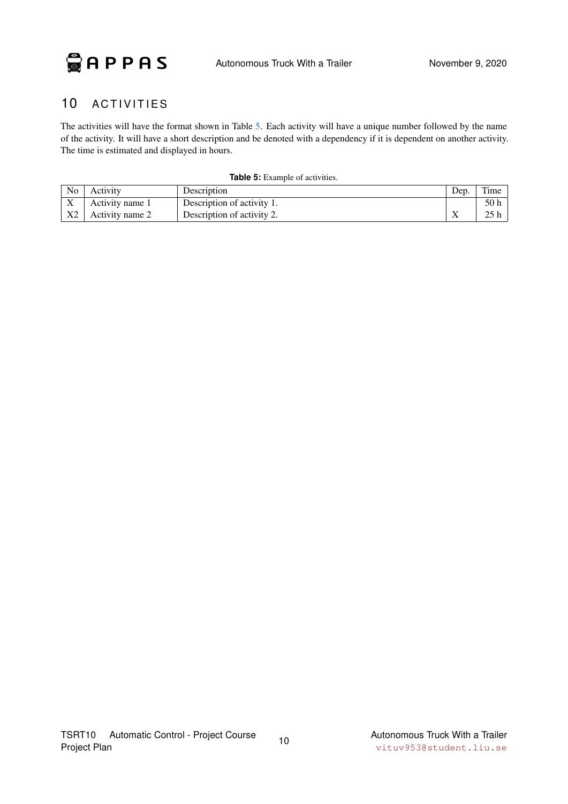

### <span id="page-13-0"></span>10 ACTIVITIES

The activities will have the format shown in Table [5.](#page-13-1) Each activity will have a unique number followed by the name of the activity. It will have a short description and be denoted with a dependency if it is dependent on another activity. The time is estimated and displayed in hours.

<span id="page-13-1"></span>

| N <sub>o</sub>            | Activity        | Description                | Dep       | Time |
|---------------------------|-----------------|----------------------------|-----------|------|
| $\mathbf{v}$<br>$\Lambda$ | Activity name 1 | Description of activity 1. |           | 50 h |
| X <sub>2</sub>            | Activity name 2 | Description of activity 2. | $\Lambda$ | 25 l |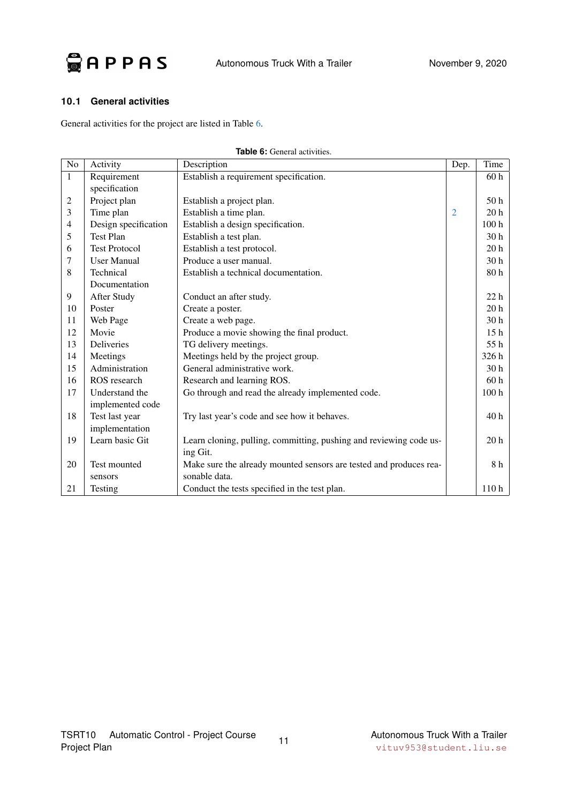

#### <span id="page-14-0"></span>**10.1 General activities**

<span id="page-14-1"></span>General activities for the project are listed in Table [6.](#page-14-1)

<span id="page-14-2"></span>

| No             | Activity             | Description                                                        | Dep.           | Time             |
|----------------|----------------------|--------------------------------------------------------------------|----------------|------------------|
| $\mathbf{1}$   | Requirement          | Establish a requirement specification.                             |                | 60 <sub>h</sub>  |
|                | specification        |                                                                    |                |                  |
| $\mathfrak{2}$ | Project plan         | Establish a project plan.                                          |                | 50 <sub>h</sub>  |
| 3              | Time plan            | Establish a time plan.                                             | $\overline{2}$ | 20 <sub>h</sub>  |
| $\overline{4}$ | Design specification | Establish a design specification.                                  |                | 100 <sub>h</sub> |
| 5              | Test Plan            | Establish a test plan.                                             |                | 30 <sub>h</sub>  |
| 6              | <b>Test Protocol</b> | Establish a test protocol.                                         |                | 20 <sub>h</sub>  |
| 7              | <b>User Manual</b>   | Produce a user manual.                                             |                | 30 <sub>h</sub>  |
| 8              | Technical            | Establish a technical documentation.                               |                | 80 <sub>h</sub>  |
|                | Documentation        |                                                                    |                |                  |
| 9              | After Study          | Conduct an after study.                                            |                | 22 <sub>h</sub>  |
| 10             | Poster               | Create a poster.                                                   |                | 20 <sub>h</sub>  |
| 11             | Web Page             | Create a web page.                                                 |                | 30 <sub>h</sub>  |
| 12             | Movie                | Produce a movie showing the final product.                         |                | 15 <sub>h</sub>  |
| 13             | Deliveries           | TG delivery meetings.                                              |                | 55 h             |
| 14             | Meetings             | Meetings held by the project group.                                |                | 326 h            |
| 15             | Administration       | General administrative work.                                       |                | 30 <sub>h</sub>  |
| 16             | ROS research         | Research and learning ROS.                                         |                | 60 <sub>h</sub>  |
| 17             | Understand the       | Go through and read the already implemented code.                  |                | 100 <sub>h</sub> |
|                | implemented code     |                                                                    |                |                  |
| 18             | Test last year       | Try last year's code and see how it behaves.                       |                | 40h              |
|                | implementation       |                                                                    |                |                  |
| 19             | Learn basic Git      | Learn cloning, pulling, committing, pushing and reviewing code us- |                | 20 <sub>h</sub>  |
|                |                      | ing Git.                                                           |                |                  |
| 20             | Test mounted         | Make sure the already mounted sensors are tested and produces rea- |                | 8 h              |
|                | sensors              | sonable data.                                                      |                |                  |
| 21             | Testing              | Conduct the tests specified in the test plan.                      |                | 110h             |

**Table 6:** General activities.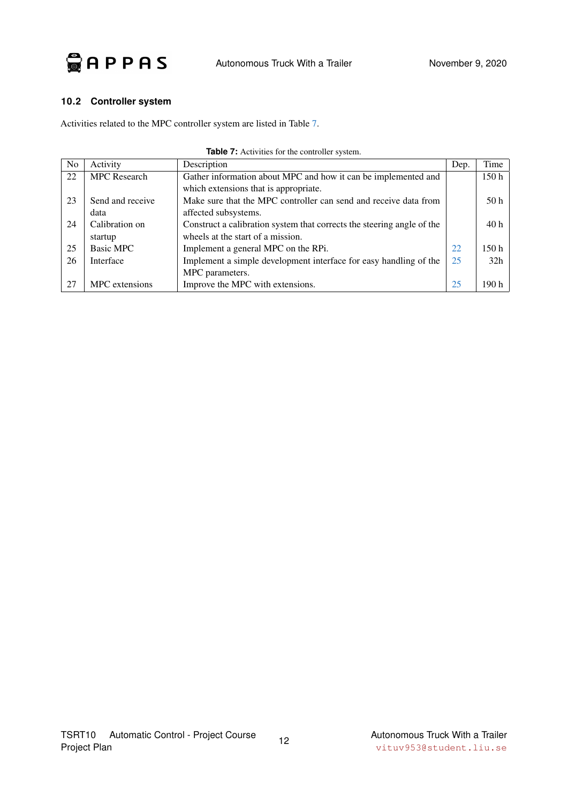

#### <span id="page-15-0"></span>**10.2 Controller system**

<span id="page-15-1"></span>Activities related to the MPC controller system are listed in Table [7.](#page-15-1)

<span id="page-15-3"></span><span id="page-15-2"></span>

| No | Activity            | Description                                                            | Dep. | Time            |
|----|---------------------|------------------------------------------------------------------------|------|-----------------|
| 22 | <b>MPC</b> Research | Gather information about MPC and how it can be implemented and         |      | 150 h           |
|    |                     | which extensions that is appropriate.                                  |      |                 |
| 23 | Send and receive    | Make sure that the MPC controller can send and receive data from       |      | 50 <sub>h</sub> |
|    | data                | affected subsystems.                                                   |      |                 |
| 24 | Calibration on      | Construct a calibration system that corrects the steering angle of the |      | 40h             |
|    | startup             | wheels at the start of a mission.                                      |      |                 |
| 25 | Basic MPC           | Implement a general MPC on the RPi.                                    | 22   | 150h            |
| 26 | Interface           | Implement a simple development interface for easy handling of the      | 25   | 32 <sub>h</sub> |
|    |                     | MPC parameters.                                                        |      |                 |
| 27 | MPC extensions      | Improve the MPC with extensions.                                       | 25   | 190 h           |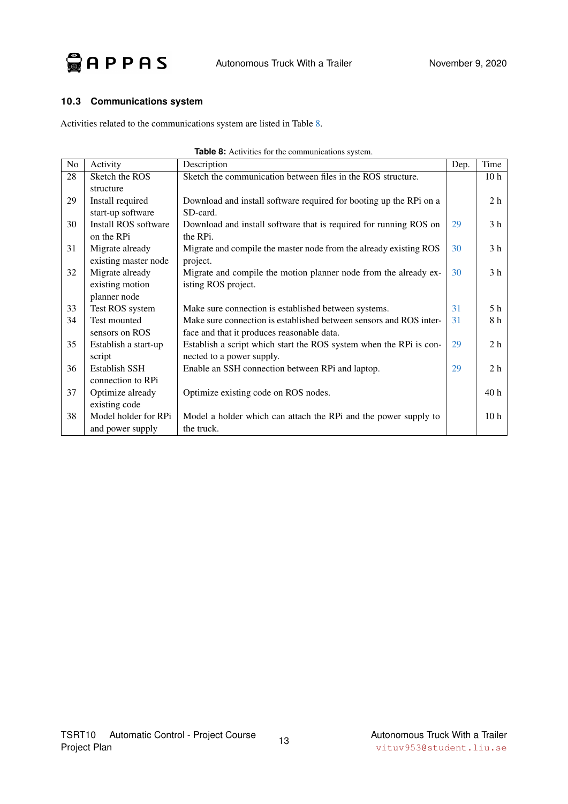

### <span id="page-16-0"></span>**10.3 Communications system**

<span id="page-16-1"></span>Activities related to the communications system are listed in Table [8.](#page-16-1)

<span id="page-16-4"></span><span id="page-16-3"></span><span id="page-16-2"></span>

| No | Activity             | Description                                                        | Dep. | Time            |
|----|----------------------|--------------------------------------------------------------------|------|-----------------|
| 28 | Sketch the ROS       | Sketch the communication between files in the ROS structure.       |      | 10 <sub>h</sub> |
|    | structure            |                                                                    |      |                 |
| 29 | Install required     | Download and install software required for booting up the RPi on a |      | 2 <sub>h</sub>  |
|    | start-up software    | SD-card.                                                           |      |                 |
| 30 | Install ROS software | Download and install software that is required for running ROS on  | 29   | 3 <sub>h</sub>  |
|    | on the RPi           | the RPi.                                                           |      |                 |
| 31 | Migrate already      | Migrate and compile the master node from the already existing ROS  | 30   | 3 <sub>h</sub>  |
|    | existing master node | project.                                                           |      |                 |
| 32 | Migrate already      | Migrate and compile the motion planner node from the already ex-   | 30   | 3 <sub>h</sub>  |
|    | existing motion      | isting ROS project.                                                |      |                 |
|    | planner node         |                                                                    |      |                 |
| 33 | Test ROS system      | Make sure connection is established between systems.               | 31   | 5 h             |
| 34 | Test mounted         | Make sure connection is established between sensors and ROS inter- | 31   | 8 h             |
|    | sensors on ROS       | face and that it produces reasonable data.                         |      |                 |
| 35 | Establish a start-up | Establish a script which start the ROS system when the RPi is con- | 29   | 2 <sub>h</sub>  |
|    | script               | nected to a power supply.                                          |      |                 |
| 36 | Establish SSH        | Enable an SSH connection between RPi and laptop.                   | 29   | 2 <sub>h</sub>  |
|    | connection to RPi    |                                                                    |      |                 |
| 37 | Optimize already     | Optimize existing code on ROS nodes.                               |      | 40 <sub>h</sub> |
|    | existing code        |                                                                    |      |                 |
| 38 | Model holder for RPi | Model a holder which can attach the RPi and the power supply to    |      | 10 <sub>h</sub> |
|    | and power supply     | the truck.                                                         |      |                 |

|  |  |  | Table 8: Activities for the communications system. |  |
|--|--|--|----------------------------------------------------|--|
|--|--|--|----------------------------------------------------|--|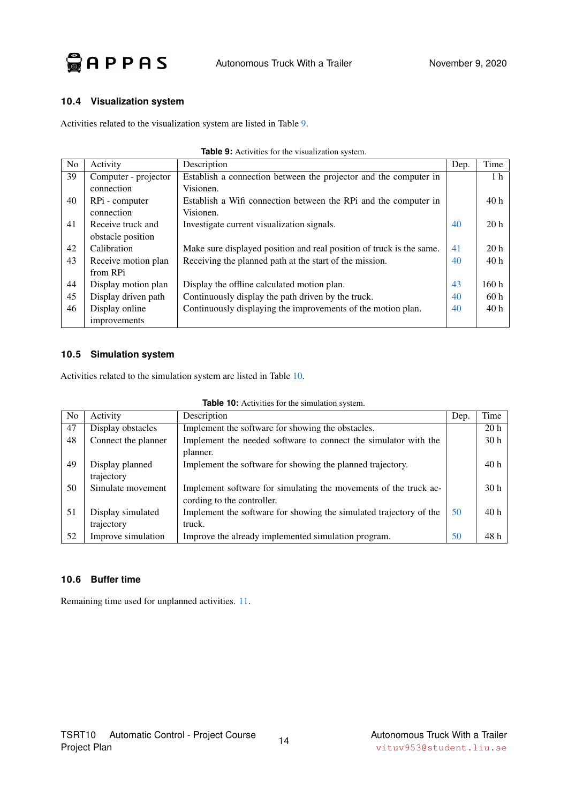

#### <span id="page-17-0"></span>**10.4 Visualization system**

<span id="page-17-3"></span>Activities related to the visualization system are listed in Table [9.](#page-17-3)

<span id="page-17-5"></span><span id="page-17-4"></span>

| N <sub>o</sub> | Activity             | Description                                                          | Dep. | Time            |
|----------------|----------------------|----------------------------------------------------------------------|------|-----------------|
| 39             | Computer - projector | Establish a connection between the projector and the computer in     |      | 1 <sub>h</sub>  |
|                | connection           | Visionen.                                                            |      |                 |
| 40             | RPi - computer       | Establish a Wifi connection between the RPi and the computer in      |      | 40h             |
|                | connection           | Visionen.                                                            |      |                 |
| 41             | Receive truck and    | Investigate current visualization signals.                           | 40   | 20 <sub>h</sub> |
|                | obstacle position    |                                                                      |      |                 |
| 42             | Calibration          | Make sure displayed position and real position of truck is the same. | 41   | 20 <sub>h</sub> |
| 43             | Receive motion plan  | Receiving the planned path at the start of the mission.              | 40   | 40h             |
|                | from RPi             |                                                                      |      |                 |
| 44             | Display motion plan  | Display the offline calculated motion plan.                          | 43   | 160h            |
| 45             | Display driven path  | Continuously display the path driven by the truck.                   | 40   | 60h             |
| 46             | Display online       | Continuously displaying the improvements of the motion plan.         | 40   | 40h             |
|                | improvements         |                                                                      |      |                 |

#### **Table 9:** Activities for the visualization system.

#### <span id="page-17-6"></span><span id="page-17-1"></span>**10.5 Simulation system**

<span id="page-17-7"></span>Activities related to the simulation system are listed in Table [10.](#page-17-7)

| Table 10: Activities for the simulation system. |  |  |  |  |
|-------------------------------------------------|--|--|--|--|
|-------------------------------------------------|--|--|--|--|

<span id="page-17-8"></span>

| N <sub>0</sub> | Activity            | Description                                                        | Dep. | Time            |
|----------------|---------------------|--------------------------------------------------------------------|------|-----------------|
| 47             | Display obstacles   | Implement the software for showing the obstacles.                  |      | 20 <sub>h</sub> |
| 48             | Connect the planner | Implement the needed software to connect the simulator with the    |      | 30 <sub>h</sub> |
|                |                     | planner.                                                           |      |                 |
| 49             | Display planned     | Implement the software for showing the planned trajectory.         |      | 40 <sub>h</sub> |
|                | trajectory          |                                                                    |      |                 |
| 50             | Simulate movement   | Implement software for simulating the movements of the truck ac-   |      | 30 <sub>h</sub> |
|                |                     | cording to the controller.                                         |      |                 |
| 51             | Display simulated   | Implement the software for showing the simulated trajectory of the | 50   | 40 <sub>h</sub> |
|                | trajectory          | truck.                                                             |      |                 |
| 52             | Improve simulation  | Improve the already implemented simulation program.                | 50   | 48 h            |

#### <span id="page-17-2"></span>**10.6 Buffer time**

Remaining time used for unplanned activities. [11.](#page-18-6)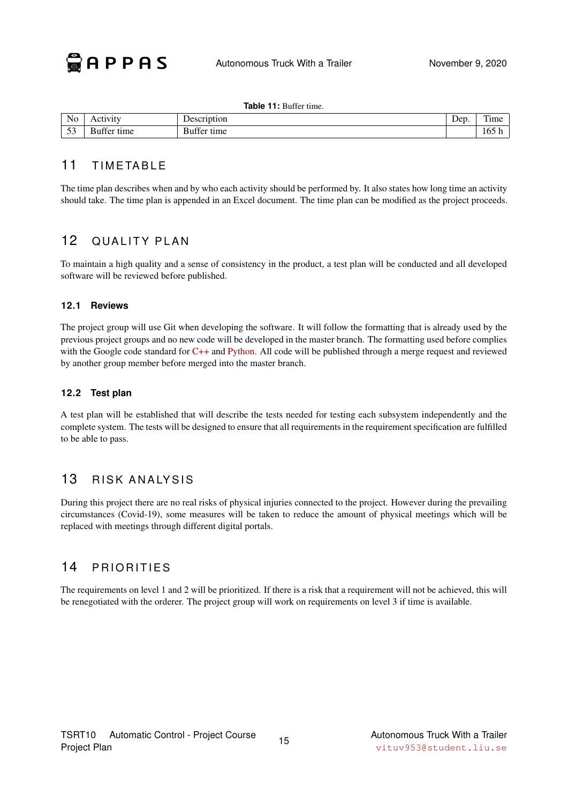#### **Table 11:** Buffer time.

<span id="page-18-6"></span>

| No<br>____   | . I V 1       | <b>Description</b>                     | Dep | m.<br>Time |
|--------------|---------------|----------------------------------------|-----|------------|
| $\sim$<br>ັ້ | $^{c}$<br>ame | $\sim$<br>$\sim$<br>time<br>Бu<br>гте1 |     | - 1 U.<br> |

### <span id="page-18-0"></span>11 TIMETABLE

The time plan describes when and by who each activity should be performed by. It also states how long time an activity should take. The time plan is appended in an Excel document. The time plan can be modified as the project proceeds.

### <span id="page-18-1"></span>12 QUALITY PLAN

To maintain a high quality and a sense of consistency in the product, a test plan will be conducted and all developed software will be reviewed before published.

#### <span id="page-18-2"></span>**12.1 Reviews**

The project group will use Git when developing the software. It will follow the formatting that is already used by the previous project groups and no new code will be developed in the master branch. The formatting used before complies with the Google code standard for [C++](https://google.github.io/styleguide/cppguide.html) and [Python.](https://google.github.io/styleguide/pyguide.html) All code will be published through a merge request and reviewed by another group member before merged into the master branch.

#### <span id="page-18-3"></span>**12.2 Test plan**

A test plan will be established that will describe the tests needed for testing each subsystem independently and the complete system. The tests will be designed to ensure that all requirements in the requirement specification are fulfilled to be able to pass.

### <span id="page-18-4"></span>13 RISK ANALYSIS

During this project there are no real risks of physical injuries connected to the project. However during the prevailing circumstances (Covid-19), some measures will be taken to reduce the amount of physical meetings which will be replaced with meetings through different digital portals.

### <span id="page-18-5"></span>14 PRIORITIES

The requirements on level 1 and 2 will be prioritized. If there is a risk that a requirement will not be achieved, this will be renegotiated with the orderer. The project group will work on requirements on level 3 if time is available.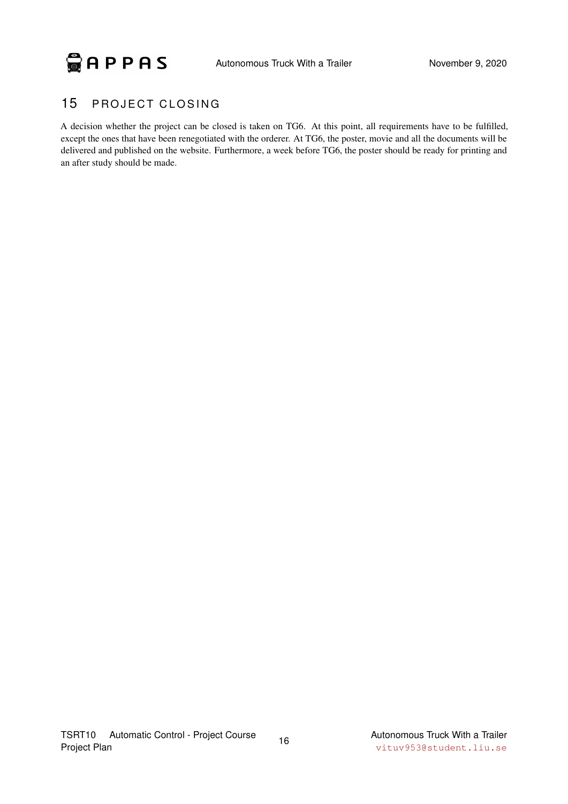

### <span id="page-19-0"></span>15 PROJECT CLOSING

A decision whether the project can be closed is taken on TG6. At this point, all requirements have to be fulfilled, except the ones that have been renegotiated with the orderer. At TG6, the poster, movie and all the documents will be delivered and published on the website. Furthermore, a week before TG6, the poster should be ready for printing and an after study should be made.